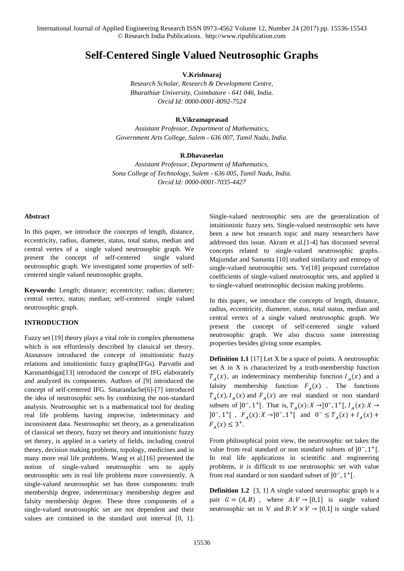# **Self-Centered Single Valued Neutrosophic Graphs**

**V.Krishnaraj**

*Research Scholar, Research & Development Centre, Bharathiar University, Coimbatore - 641 046, India. Orcid Id: 0000-0001-8092-7524*

### **R.Vikramaprasad**

*Assistant Professor, Department of Mathematics, Government Arts College, Salem - 636 007, Tamil Nadu, India.*

#### **R.Dhavaseelan**

*Assistant Professor, Department of Mathematics, Sona College of Technology, Salem - 636 005, Tamil Nadu, India. Orcid Id: 0000-0001-7035-4427*

#### **Abstract**

In this paper, we introduce the concepts of length, distance, eccentricity, radius, diameter, status, total status, median and central vertex of a single valued neutrosophic graph. We present the concept of self-centered single valued neutrosophic graph. We investigated some properties of selfcentered single valued neutrosophic graphs.

**Keywords:** Length; distance; eccentricity; radius; diameter; central vertex; status; median; self-centered single valued neutrosophic graph.

# **INTRODUCTION**

Fuzzy set [19] theory plays a vital role in complex phenomena which is not effortlessly described by classical set theory. Atanassov introduced the concept of intuitionistic fuzzy relations and intuitionistic fuzzy graphs(IFGs). Parvathi and Karunambigai[13] introduced the concept of IFG elaborately and analyzed its components. Authors of [9] introduced the concept of self-centered IFG. Smarandache[6]-[7] introduced the idea of neutrosophic sets by combining the non-standard analysis. Neutrosophic set is a mathematical tool for dealing real life problems having imprecise, indeterminacy and inconsistent data. Neutrosophic set theory, as a generalization of classical set theory, fuzzy set theory and intuitionistic fuzzy set theory, is applied in a variety of fields, including control theory, decision making problems, topology, medicines and in many more real life problems. Wang et al.[16] presented the notion of single-valued neutrosophic sets to apply neutrosophic sets in real life problems more conveniently. A single-valued neutrosophic set has three components: truth membership degree, indeterminacy membership degree and falsity membership degree. These three components of a single-valued neutrosophic set are not dependent and their values are contained in the standard unit interval [0, 1].

Single-valued neutrosophic sets are the generalization of intuitionistic fuzzy sets. Single-valued neutrosophic sets have been a new hot research topic and many researchers have addressed this issue. Akram et al.[1-4] has discussed several concepts related to single-valued neutrosophic graphs. Majumdar and Samanta [10] studied similarity and entropy of single-valued neutrosophic sets. Ye[18] proposed correlation coefficients of single-valued neutrosophic sets, and applied it to single-valued neutrosophic decision making problems.

In this paper, we introduce the concepts of length, distance, radius, eccentricity, diameter, status, total status, median and central vertex of a single valued neutrosophic graph. We present the concept of self-centered single valued neutrosophic graph. We also discuss some interesting properties besides giving some examples.

**Definition 1.1** [17] Let X be a space of points. A neutrosophic set A in X is characterized by a truth-membership function  $T_A(x)$ , an indeterminacy membership function  $I_A(x)$  and a falsity membership function  $F_A(x)$ . The functions  $T_A(x)$ ,  $I_A(x)$  and  $F_A(x)$  are real standard or non standard subsets of ]0<sup>-</sup>, 1<sup>+</sup>[. That is,  $T_A(x): X \to ]0^-$ , 1<sup>+</sup>[,  $I_A(x): X \to$ ]0<sup>-</sup>, 1<sup>+</sup>[, F<sub>A</sub>(x): X →]0<sup>-</sup>, 1<sup>+</sup>[ and 0<sup>-</sup> ≤ T<sub>A</sub>(x) + I<sub>A</sub>(x) +  $F_{A}(x) \leq 3^{+}.$ 

From philosophical point view, the neutrosophic set takes the value from real standard or non standard subsets of  $]0^-, 1^+]$ . In real life applications in scientific and engineering problems, it is difficult to use neutrosophic set with value from real standard or non standard subset of  $]0^-, 1^+]$ .

**Definition 1.2** [3, 1] A single valued neutrosophic graph is a pair  $G = (A, B)$ , where  $A: V \rightarrow [0, 1]$  is single valued neutrosophic set in V and  $B: V \times V \rightarrow [0,1]$  is single valued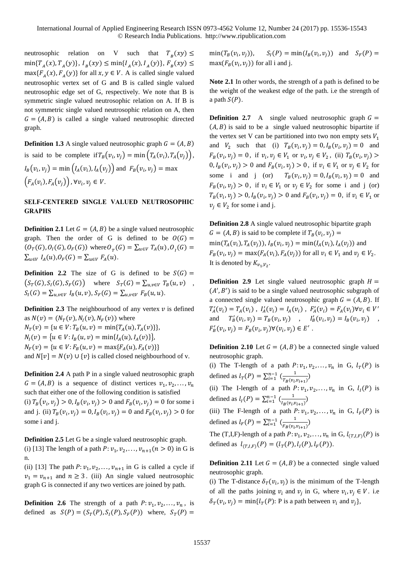neutrosophic relation on V such that  $T_B(xy) \leq$  $\min\{T_A(x), T_A(y)\}, I_B(xy) \leq \min\{I_A(x), I_A(y)\}, F_B(xy) \leq$  $max{F_A(x), F_A(y)}$  for all  $x, y \in V$ . A is called single valued neutrosophic vertex set of G and B is called single valued neutrosophic edge set of G, respectively. We note that B is symmetric single valued neutrosophic relation on A. If B is not symmetric single valued neutrosophic relation on A, then  $G = (A, B)$  is called a single valued neutrosophic directed graph.

**Definition 1.3** A single valued neutrosophic graph  $G = (A, B)$ is said to be complete if  $T_B(v_i, v_j) = \min\left(T_A(v_i), T_A(v_j)\right)$ ,  $I_B(v_i, v_j) = \min\big(I_A(v_i), I_A(v_j)\big)$  and  $F_B(v_i, v_j) = \max$  $(F_A(v_i), F_A(v_j))$ ,  $\forall v_i, v_j \in V$ .

# **SELF-CENTERED SINGLE VALUED NEUTROSOPHIC GRAPHS**

**Definition 2.1** Let  $G = (A, B)$  be a single valued neutrosophic graph. Then the order of G is defined to be  $O(G)$  =  $(O_T(G), O_I(G), O_F(G))$  where  $O_T(G) = \sum_{u \in V} T_A(u), O_I(G) =$  $\sum_{u \in V} I_A(u), O_F(G) = \sum_{u \in V} F_A(u).$ 

**Definition 2.2** The size of G is defined to be  $S(G)$  =  $(S_T(G), S_I(G), S_F(G))$  where  $S_T(G) = \sum_{u,v \in V} T_B(u,v)$ ,  $S_I(G) = \sum_{u,v \in V} I_B(u,v), S_F(G) = \sum_{u,v \in V} F_B(u,u).$ 

**Definition 2.3** The neighbourhood of any vertex  $v$  is defined as  $N(v) = (N_T(v), N_I(v), N_F(v))$  where  $N_T(v) = \{ u \in V : T_B(u, v) = \min\{ T_A(u), T_A(v) \} \},$  $N_I(v) = {u \in V : I_B(u, v) = min{I_A(u), I_A(v)}},$  $N_F(v) = \{ u \in V : F_B(u, v) = \max\{F_A(u), F_A(v)\} \}$ and  $N[v] = N(v) \cup \{v\}$  is called closed neighbourhood of v.

**Definition 2.4** A path P in a single valued neutrosophic graph  $G = (A, B)$  is a sequence of distinct vertices  $v_1, v_2, \dots, v_n$ such that either one of the following condition is satisfied (i)  $T_B(v_i, v_j) > 0, I_B(v_i, v_j) > 0$  and  $F_B(v_i, v_j) = 0$  for some i and j. (ii)  $T_B(v_i, v_j) = 0, I_B(v_i, v_j) = 0$  and  $F_B(v_i, v_j) > 0$  for some i and j.

**Definition 2.5** Let G be a single valued neutrosophic graph. (i) [13] The length of a path  $P: v_1, v_2, ..., v_{n+1}$  ( $n > 0$ ) in G is n.

(ii) [13] The path  $P: v_1, v_2, \ldots, v_{n+1}$  in G is called a cycle if  $v_1 = v_{n+1}$  and  $n \ge 3$ . (iii) An single valued neutrosophic graph G is connected if any two vertices are joined by path.

**Definition 2.6** The strength of a path  $P: v_1, v_2, \ldots, v_n$ , is defined as  $S(P) = (S_T(P), S_I(P), S_F(P))$  where,  $S_T(P) =$ 

 $min(T_R(v_i, v_i))$ ,  $(s, v_j)$ ,  $S_I(P) = \min(I_B(v_i, v_j))$  and  $S_F(P) =$  $max(F_B(v_i, v_j))$  for all i and j.

**Note 2.1** In other words, the strength of a path is defined to be the weight of the weakest edge of the path. i.e the strength of a path  $S(P)$ .

**Definition 2.7** A single valued neutrosophic graph  $G =$  $(A, B)$  is said to be a single valued neutrosophic bipartite if the vertex set V can be partitioned into two non empty sets  $V_1$ and  $V_2$  such that (i)  $T_B(v_i, v_j) = 0, I_B(v_i, v_j) = 0$  and  $F_B(v_i, v_j) = 0$ , if  $v_i, v_j \in V_1$  or  $v_i, v_j \in V_2$ , (ii)  $T_B(v_i, v_j)$  $0, I_B(v_i, v_j) > 0$  and  $F_B(v_i, v_j) > 0$ , if  $v_i \in V_1$  or  $v_j \in V_2$  for some i and j (or)  $T_B(v_i, v_j) = 0, I_B(v_i, v_j) = 0$  and  $F_B(v_i, v_j) > 0$ , if  $v_i \in V_1$  or  $v_j \in V_2$  for some i and j (or)  $T_B(v_i, v_j) > 0, I_B(v_i, v_j) > 0$  and  $F_B(v_i, v_j) = 0$ , if  $v_i \in V_1$  or  $v_j \in V_2$  for some i and j.

**Definition 2.8** A single valued neutrosophic bipartite graph  $G = (A, B)$  is said to be complete if  $T_B(v_i, v_j) =$  $min(T_A(v_i), T_A(v_j)), I_B(v_i, v_j) = min(I_A(v_i), I_A(v_j))$  and  $F_B(v_i, v_j) = \max(F_A(v_i), F_A(v_j))$  for all  $v_i \in V_1$  and  $v_j \in V_2$ . It is denoted by  $K_{v_1, V_2}$ .

**Definition 2.9** Let single valued neutrosophic graph  $H =$  $(A', B')$  is said to be a single valued neutrosophic subgraph of a connected single valued neutrosophic graph  $G = (A, B)$ . If  $T_A'(v_i) = T_A(v_i)$ ,  $I_A'(v_i) = I_A(v_i)$ ,  $F_A'(v_i) = F_A(v_i) \forall v_i \in V'$ and  $T'_{B}(v_{i}, v_{j}) = T_{B}(v_{i}, v_{j})$ ,  $I'_{B}(v_{i}, v_{j}) = I_{B}(v_{i}, v_{j})$ ,  $F'_B(v_i, v_j) = F_B(v_i, v_j) \forall (v_i, v_j) \in E'$ .

**Definition 2.10** Let  $G = (A, B)$  be a connected single valued neutrosophic graph.

(i) The T-length of a path  $P: v_1, v_2, \ldots, v_n$  in G,  $l_T(P)$  is defined as  $l_T(P) = \sum_{i=1}^{n-1} \left( \frac{1}{T_P(p_i)} \right)$  $\frac{1}{T_B(v_i, v_{i+1})}$ 

(ii) The I-length of a path  $P: v_1, v_2, \ldots, v_n$  in G,  $l_I(P)$  is defined as  $l_1(P) = \sum_{i=1}^{n-1} (\frac{1}{l_1(P+i)})$  $\frac{1}{I_B(v_i, v_{i+1})}$ 

(iii) The F-length of a path  $P: v_1, v_2, \ldots, v_n$  in G,  $l_F(P)$  is defined as  $l_F(P) = \sum_{i=1}^{n-1} \left( \frac{1}{E_P(p_i)} \right)$  $\frac{1}{F_B(v_i, v_{i+1})}$ 

The (T,I,F)-length of a path  $P: v_1, v_2, \ldots, v_n$  in G,  $l_{(T,I,F)}(P)$  is defined as  $l_{(T,I,F)}(P) = (l_T(P), l_I(P), l_F(P)).$ 

**Definition 2.11** Let  $G = (A, B)$  be a connected single valued neutrosophic graph.

(i) The T-distance  $\delta_T(v_i, v_j)$  is the minimum of the T-length of all the paths joining  $v_i$  and  $v_j$  in G, where  $v_i$ ,  $v_j \in V$ . i.e  $\delta_T(v_i, v_j) = \min\{l_T(P): \text{P is a path between } v_i \text{ and } v_j\},\$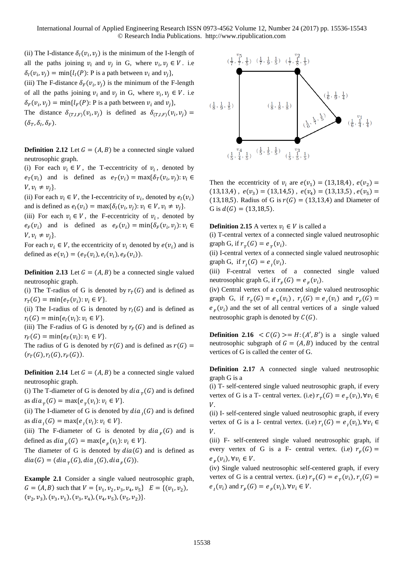(ii) The I-distance  $\delta_l(v_i, v_j)$  is the minimum of the I-length of all the paths joining  $v_i$  and  $v_j$  in G, where  $v_i$ ,  $v_j \in V$ . i.e  $\delta_I(v_i, v_j) = \min\{l_I(P) : P \text{ is a path between } v_i \text{ and } v_j\},\$ 

(iii) The F-distance  $\delta_F(v_i, v_j)$  is the minimum of the F-length of all the paths joining  $v_i$  and  $v_j$  in G, where  $v_i$ ,  $v_j \in V$ . i.e  $\delta_F(v_i, v_j) = \min\{l_F(P): \text{P is a path between } v_i \text{ and } v_j\},\$ 

The distance  $\delta_{(T,I,F)}(v_i, v_j)$  is defined as  $\delta_{(T,I,F)}(v_i, v_j) =$  $(\delta_T, \delta_I, \delta_F)$ .

**Definition 2.12** Let  $G = (A, B)$  be a connected single valued neutrosophic graph.

(i) For each  $v_i \in V$ , the T-eccentricity of  $v_i$ , denoted by  $e_T(v_i)$  and is defined as  $e_T(v_i) = \max{\delta_T(v_i, v_j)}$ :  $v_i \in$  $V, v_i \neq v_j$ .

(ii) For each  $v_i \in V$ , the I-eccentricity of  $v_i$ , denoted by  $e_i(v_i)$ and is defined as  $e_i(v_i) = \max{\{\delta_i(v_i, v_j): v_i \in V, v_i \neq v_j\}}$ .

(iii) For each  $v_i \in V$ , the F-eccentricity of  $v_i$ , denoted by  $e_F(v_i)$  and is defined as  $e_F(v_i) = \min{\delta_F(v_i, v_j)}$ :  $v_i \in$  $V, v_i \neq v_j$ .

For each  $v_i \in V$ , the eccentricity of  $v_i$  denoted by  $e(v_i)$  and is defined as  $e(v_i) = (e_T(v_i), e_I(v_i), e_F(v_i)).$ 

**Definition 2.13** Let  $G = (A, B)$  be a connected single valued neutrosophic graph.

(i) The T-radius of G is denoted by  $r_T(G)$  and is defined as  $r_T(G) = \min\{e_T(v_i): v_i \in V\}.$ 

(ii) The I-radius of G is denoted by  $r_I(G)$  and is defined as  $r_I(G) = \min\{e_I(v_i): v_i \in V\}.$ 

(iii) The F-radius of G is denoted by  $r_F(G)$  and is defined as  $r_F(G) = \min\{e_F(v_i): v_i \in V\}.$ 

The radius of G is denoted by  $r(G)$  and is defined as  $r(G)$  =  $(r_T(G), r_I(G), r_F(G)).$ 

**Definition 2.14** Let  $G = (A, B)$  be a connected single valued neutrosophic graph.

(i) The T-diameter of G is denoted by  $dia_{T}(G)$  and is defined as  $dia_{T}(G) = max\{e_{T}(v_{i}): v_{i} \in V\}.$ 

(ii) The I-diameter of G is denoted by  $dia<sub>1</sub>(G)$  and is defined as  $dia_{i}(G) = max{e_{i}(v_{i}): v_{i} \in V}.$ 

(iii) The F-diameter of G is denoted by  $dia_F(G)$  and is defined as  $dia_F(G) = max\{e_F(v_i): v_i \in V\}.$ 

The diameter of G is denoted by  $dia(G)$  and is defined as  $dia(G) = (dia_{T}(G), dia_{I}(G), dia_{F}(G)).$ 

**Example 2.1** Consider a single valued neutrosophic graph,  $G = (A, B)$  such that  $V = \{v_1, v_2, v_3, v_4, v_5\}$   $E = \{(v_1, v_2),$  $(v_2, v_3), (v_3, v_1), (v_3, v_4), (v_4, v_5), (v_5, v_2)\}.$ 



Then the eccentricity of  $v_i$  are  $e(v_1) = (13,18,4)$ ,  $e(v_2) =$  $(13,13,4)$ ,  $e(v_3) = (13,14,5)$ ,  $e(v_4) = (13,13,5)$ ,  $e(v_5) =$ (13,18,5). Radius of G is  $r(G) = (13,13,4)$  and Diameter of G is  $d(G) = (13, 18, 5)$ .

**Definition 2.15** A vertex  $v_i \in V$  is called a

(i) T-central vertex of a connected single valued neutrosophic graph G, if  $r_T(G) = e_T(v_i)$ .

(ii) I-central vertex of a connected single valued neutrosophic graph G, if  $r_i(G) = e_i(v_i)$ .

(iii) F-central vertex of a connected single valued neutrosophic graph G, if  $r_F(G) = e_F(v_i)$ .

(iv) Central vertex of a connected single valued neutrosophic graph G, if  $r_T(G) = e_T(v_i)$ ,  $r_I(G) = e_I(v_i)$  and  $r_F(G) = e_I(v_i)$  $e_F(v_i)$  and the set of all central vertices of a single valued neutrosophic graph is denoted by  $C(G)$ .

**Definition 2.16**  $\langle C(G) \rangle = H: (A', B')$  is a single valued neutrosophic subgraph of  $G = (A, B)$  induced by the central vertices of G is called the center of G.

**Definition 2.17** A connected single valued neutrosophic graph G is a

(i) T- self-centered single valued neutrosophic graph, if every vertex of G is a T- central vertex. (i.e)  $r_T(G) = e_T(v_i)$ ,  $\forall v_i \in$ V.

(ii) I- self-centered single valued neutrosophic graph, if every vertex of G is a I- central vertex. (i.e)  $r_i(G) = e_i(v_i)$ ,  $\forall v_i \in$  $V_{\cdot}$ 

(iii) F- self-centered single valued neutrosophic graph, if every vertex of G is a F- central vertex. (i.e)  $r_F(G)$  =  $e_F(v_i), \forall v_i \in V.$ 

(iv) Single valued neutrosophic self-centered graph, if every vertex of G is a central vertex. (i.e)  $r_T(G) = e_T(v_i)$ ,  $r_I(G) =$  $e_i(v_i)$  and  $r_F(G) = e_F(v_i)$ ,  $\forall v_i \in V$ .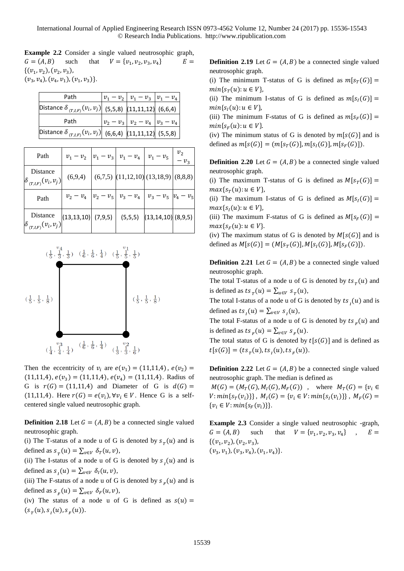**Example 2.2** Consider a single valued neutrosophic graph,  $G = (A, B)$  such that ,  $v_2$ ,  $v_3$ ,  $v_4$  $E =$  $\{(v_1, v_2), (v_2, v_3),$  $(v_3, v_4), (v_4, v_1), (v_1, v_3)\}.$ 

| Path                                                             | $ v_1 - v_2 $ $v_1 - v_3$ $ v_1 - v_4 $ |  |
|------------------------------------------------------------------|-----------------------------------------|--|
| Distance $\delta_{(T,I,F)}(v_i, v_j)$ (5,5,8) (11,11,12) (6,6,4) |                                         |  |
| Path                                                             | $ v_2 - v_3 $ $v_2 - v_4$ $ v_3 - v_4 $ |  |
| Distance $\delta_{(T,I,F)}(v_i, v_j)$ (6,6,4) (11,11,12) (5,5,8) |                                         |  |

| Path                                                             | $v_1-v_2$                                                                                                     |             | $ v_1 - v_3 $ $v_1 - v_4$   $v_1 - v_5$      |                                         | $v_3$ |
|------------------------------------------------------------------|---------------------------------------------------------------------------------------------------------------|-------------|----------------------------------------------|-----------------------------------------|-------|
| Distance<br>$(v_{i},v_{j})$                                      | (6,9,4)                                                                                                       |             | $(6,7,5)$ $(11,12,10)$ $(13,18,9)$ $(8,8,8)$ |                                         |       |
| Path                                                             | $v_2-v_4$                                                                                                     | $v_2 - v_5$ |                                              | $v_3 - v_4$   $v_3 - v_5$   $v_4 - v_5$ |       |
| Distance<br>$\mathcal{L}_{(T,I,F)}(\mathcal{V}_i,\mathcal{V}_j)$ | $\left  \left( 13, 13, 10 \right) \right $ (7,9,5) $\left  \left( 5, 5, 5 \right) \right $ (13,14,10) (8,9,5) |             |                                              |                                         |       |



Then the eccentricity of  $v_i$  are  $e(v_1) = (11,11,4)$ ,  $e(v_2) =$  $(11,11,4), e(v_3) = (11,11,4), e(v_4) = (11,11,4).$  Radius of G is  $r(G) = (11,11,4)$  and Diameter of G is  $d(G) =$ (11,11,4). Here  $r(G) = e(v_i)$ ,  $\forall v_i \in V$ . Hence G is a selfcentered single valued neutrosophic graph.

**Definition 2.18** Let  $G = (A, B)$  be a connected single valued neutrosophic graph.

(i) The T-status of a node u of G is denoted by  $s_T(u)$  and is defined as  $s_T(u) = \sum_{v \in V} \delta_T(u, v)$ ,

(ii) The I-status of a node u of G is denoted by  $s_1(u)$  and is defined as  $s_I(u) = \sum_{v \in V} \delta_I(u, v)$ ,

(iii) The F-status of a node u of G is denoted by  $s_F(u)$  and is defined as  $s_F(u) = \sum_{v \in V} \delta_F(u, v)$ ,

(iv) The status of a node u of G is defined as  $s(u)$  =  $(s_T(u), s_T(u), s_F(u)).$ 

**Definition 2.19** Let  $G = (A, B)$  be a connected single valued neutrosophic graph.

(i) The minimum T-status of G is defined as  $m[s_T(G)] =$  $min{s_T(u): u \in V},$ 

(ii) The minimum I-status of G is defined as  $m[s_i(G)] =$  $min{s<sub>I</sub>(u): u \in V}$ ,

(iii) The minimum F-status of G is defined as  $m[s_F(G)] =$  $min{S_F(u): u \in V}$ .

(iv) The minimum status of G is denoted by  $m[s(G)]$  and is defined as  $m[s(G)] = (m[s_T(G)], m[s_I(G)], m[s_F(G)]).$ 

**Definition 2.20** Let  $G = (A, B)$  be a connected single valued neutrosophic graph.

(i) The maximum T-status of G is defined as  $M[s_T(G)] =$  $max{s_T(u): u \in V},$ 

(ii) The maximum I-status of G is defined as  $M[s_i(G)] =$  $max{s_{i}(u): u \in V},$ 

(iii) The maximum F-status of G is defined as  $M[s_F(G)] =$  $max{s_F(u): u \in V}.$ 

(iv) The maximum status of G is denoted by  $M[s(G)]$  and is defined as  $M[s(G)] = (M[s_T(G)], M[s_I(G)], M[s_F(G)]).$ 

**Definition 2.21** Let  $G = (A, B)$  be a connected single valued neutrosophic graph.

The total T-status of a node u of G is denoted by  $ts_{T}(u)$  and is defined as  $ts_T(u) = \sum_{u \in V} s_T(u)$ ,

The total I-status of a node u of G is denoted by  $ts_i(u)$  and is defined as  $ts_i(u) = \sum_{v \in V} s_i(u)$ ,

The total F-status of a node u of G is denoted by  $ts_F(u)$  and is defined as  $ts_F(u) = \sum_{v \in V} s_F(u)$ .

The total status of G is denoted by  $t[s(G)]$  and is defined as  $t[s(G)] = (ts_{T}(u), ts_{T}(u), ts_{F}(u)).$ 

**Definition 2.22** Let  $G = (A, B)$  be a connected single valued neutrosophic graph. The median is defined as

 $M(G) = (M_T(G), M_I(G), M_F(G))$ , where  $M_T(G) = \{v_i \in$  $V: min\{s_T(v_i)\}\}\,$ ,  $M_I(G) = \{v_i \in V: min\{s_I(v_i)\}\}\,$ ,  $M_F(G) =$  $\{v_i \in V: min\{s_F(v_i)\}\}.$ 

**Example 2.3** Consider a single valued neutrosophic -graph,  $G = (A, B)$  such ,  $v_2$ ,  $v_3$ ,  $v_4$ },  $E =$  $\{(v_1, v_2), (v_2, v_3),$  $(v_3, v_1), (v_3, v_4), (v_1, v_4)$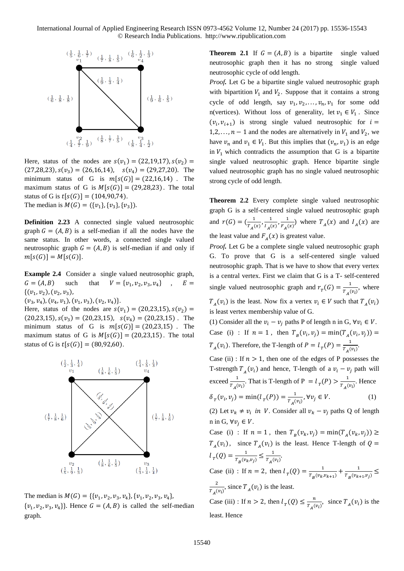International Journal of Applied Engineering Research ISSN 0973-4562 Volume 12, Number 24 (2017) pp. 15536-15543 © Research India Publications. http://www.ripublication.com



Here, status of the nodes are  $s(v_1) = (22, 19, 17), s(v_2) =$  $(27,28,23), s(v_3) = (26,16,14), s(v_4) = (29,27,20).$  The minimum status of G is  $m[s(G)] = (22,16,14)$ . The maximum status of G is  $M[s(G)] = (29,28,23)$ . The total status of G is  $t[s(G)] = (104,90,74)$ . The median is  $M(G) = (\{v_1\}, \{v_3\}, \{v_3\}).$ 

**Definition 2.23** A connected single valued neutrosophic graph  $G = (A, B)$  is a self-median if all the nodes have the same status. In other words, a connected single valued neutrosophic graph  $G = (A, B)$  is self-median if and only if  $m[s(G)] = M[s(G)].$ 

**Example 2.4** Consider a single valued neutrosophic graph,  $G = (A, B)$  such that  $V = \{v_1, v_2, v_3, v_4\}$  $\, \cdot \quad E =$  $\{(v_1, v_2), (v_2, v_3),$ 

 $(v_3, v_4), (v_4, v_1), (v_1, v_3), (v_2, v_4)$ .

Here, status of the nodes are  $s(v_1) = (20,23,15)$ ,  $s(v_2) =$  $(20,23,15)$ ,  $s(v_3) = (20,23,15)$ ,  $s(v_4) = (20,23,15)$ . The minimum status of G is  $m[s(G)] = (20,23,15)$ . The maximum status of G is  $M[s(G)] = (20,23,15)$ . The total status of G is  $t[s(G)] = (80, 92, 60)$ .



The median is  $M(G) = \{\{v_1, v_2, v_3, v_4\}, \{v_1, v_2, v_3, v_4\},\}$  $\{v_1, v_2, v_3, v_4\}$ . Hence  $G = (A, B)$  is called the self-median graph.

**Theorem 2.1** If  $G = (A, B)$  is a bipartite single valued neutrosophic graph then it has no strong single valued neutrosophic cycle of odd length.

*Proof.* Let G be a bipartite single valued neutrosophic graph with bipartition  $V_1$  and  $V_2$ . Suppose that it contains a strong cycle of odd length, say  $v_1, v_2, \ldots, v_n, v_1$  for some odd n(vertices). Without loss of generality, let  $v_1 \in V_1$ . Since  $(v_i, v_{i+1})$  is strong single valued neutrosophic for  $i =$ 1,2, ...,  $n-1$  and the nodes are alternatively in  $V_1$  and  $V_2$ , we have  $v_n$  and  $v_1 \in V_1$ . But this implies that  $(v_n, v_1)$  is an edge in  $V_1$  which contradicts the assumption that G is a bipartite single valued neutrosophic graph. Hence bipartite single valued neutrosophic graph has no single valued neutrosophic strong cycle of odd length.

**Theorem 2.2** Every complete single valued neutrosophic graph G is a self-centered single valued neutrosophic graph and  $r(G) = \left(\frac{1}{\pi}\right)$  $\frac{1}{T_A(x)}, \frac{1}{T_A(x)}$  $\frac{1}{I_A(x)}$ ,  $\frac{1}{F_A(x)}$  $\frac{1}{F_A(x)}$  where  $T_A(x)$  and  $I_A(x)$  are the least value and  $F_A(x)$  is greatest value.

*Proof.* Let G be a complete single valued neutrosophic graph G. To prove that G is a self-centered single valued neutrosophic graph. That is we have to show that every vertex is a central vertex. First we claim that G is a T- self-centered single valued neutrosophic graph and  $r_T(G) = \frac{1}{T}$  $\frac{1}{T_A(v_i)}$ , where

 $T_A(v_i)$  is the least. Now fix a vertex  $v_i \in V$  such that  $T_A(v_i)$ is least vertex membership value of G.

(1) Consider all the  $v_i - v_i$  paths P of length n in G,  $\forall v_i \in V$ . Case (i) : If  $n = 1$ , then  $T_B(v_i, v_j) = \min(T_A(v_i, v_j)) =$  $T_A(v_i)$ . Therefore, the T-length of  $P = l_T(P) = \frac{1}{T_A(P)}$  $\frac{1}{T_A(v_i)}$ .

Case (ii) : If  $n > 1$ , then one of the edges of P possesses the T-strength  $T_A(v_i)$  and hence, T-length of a  $v_i - v_j$  path will exceed  $\frac{1}{T_A(v_i)}$ . That is T-length of P =  $l_T(P) > \frac{1}{T_A(P)}$  $\frac{1}{T_A(v_i)}$ . Hence  $\delta_{T}(v_{i}, v_{j}) = \min(l_{T}(P)) = \frac{1}{T}$  $\frac{1}{T_A(v_i)}, \forall v_j \in V.$  (1)

(2) Let  $v_k \neq v_i$  in *V*. Consider all  $v_k - v_j$  paths Q of length n in G,  $\forall v_i \in V$ .

Case (i) : If  $n = 1$ , then  $T_B(v_k, v_j) = \min(T_A(v_k, v_j)) \ge$  $T_A(v_i)$ , since  $T_A(v_i)$  is the least. Hence T-length of  $Q =$  $l_{T}(Q) = \frac{1}{T_{-}(v)}$  $\frac{1}{T_B(v_k, v_j)} \leq \frac{1}{T_A(v_j)}$  $\frac{1}{T_A(v_i)}$ .

Case (ii) : If  $n = 2$ , then  $l_{T}(Q) = \frac{1}{T_{c}(p_{h})}$  $\frac{1}{T_B(v_k, v_{k+1})} + \frac{1}{T_B(v_k, v_k)}$  $\frac{1}{T_B(v_{k+1},v_j)} \leq$ 2  $\frac{2}{T_A(v_i)}$ , since  $T_A(v_i)$  is the least. Case (iii) : If  $n > 2$ , then  $l<sub>T</sub>(Q) \leq \frac{n}{l}$  $\frac{n}{T_A(v_i)}$ , since  $T_A(v_i)$  is the

least. Hence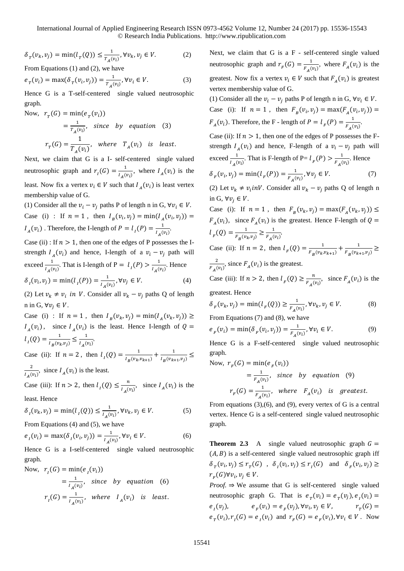International Journal of Applied Engineering Research ISSN 0973-4562 Volume 12, Number 24 (2017) pp. 15536-15543 © Research India Publications. http://www.ripublication.com

$$
\delta_{\tau}(v_k, v_j) = \min(l_{\tau}(Q)) \le \frac{1}{T_A(v_i)}, \forall v_k, v_j \in V. \tag{2}
$$

From Equations (1) and (2), we have

$$
e_T(v_i) = \max(\delta_T(v_i, v_j)) = \frac{1}{T_A(v_i)}, \forall v_i \in V.
$$
 (3)

Hence G is a T-self-centered single valued neutrosophic graph.

Now, 
$$
r_T(G) = \min(e_T(v_i))
$$
  
\n
$$
= \frac{1}{r_A(v_i)}, \text{ since by equation (3)}
$$
\n
$$
r_T(G) = \frac{1}{T_A(v_i)}, \text{ where } T_A(v_i) \text{ is least.}
$$

Next, we claim that G is a I- self-centered single valued neutrosophic graph and  $r_1(G) = \frac{1}{16}$  $\frac{1}{I_A(v_i)}$ , where  $I_A(v_i)$  is the least. Now fix a vertex  $v_i \in V$  such that  $I_A(v_i)$  is least vertex membership value of G.

(1) Consider all the  $v_i - v_j$  paths P of length n in G,  $\forall v_i \in V$ . Case (i) : If  $n = 1$ , then  $I_B(v_i, v_j) = \min(I_A(v_i, v_j)) =$  $I_A(v_i)$ . Therefore, the I-length of  $P = l_I(P) = \frac{1}{l_I(P)}$  $\frac{1}{I_A(v_i)}$ .

Case (ii) : If  $n > 1$ , then one of the edges of P possesses the Istrength  $I_A(v_i)$  and hence, I-length of a  $v_i - v_j$  path will exceed  $\frac{1}{I_A(v_i)}$ . That is I-length of P =  $l_I(P) > \frac{1}{I_A(v_i)}$  $\frac{1}{I_A(v_i)}$ . Hence  $\delta_1(v_i, v_j) = \min(l_1(P)) = \frac{1}{l_1(r)}$  $\frac{1}{I_A(v_i)}, \forall v_j \in V.$  (4)

(2) Let  $v_k \neq v_i$  in *V*. Consider all  $v_k - v_j$  paths Q of length n in G,  $\forall v_i \in V$ .

Case (i) : If  $n = 1$ , then  $I_B(v_k, v_j) = \min(I_A(v_k, v_j)) \ge$  $I_A(v_i)$ , since  $I_A(v_i)$  is the least. Hence I-length of  $Q =$  $l_{I}(Q) = \frac{1}{l_{I}(v)}$  $\frac{1}{I_B(v_k, v_j)} \leq \frac{1}{I_A(v_j)}$  $\frac{1}{I_A(v_i)}$ .

Case (ii): If  $n = 2$ , then  $l_1(Q) = \frac{1}{l_1(W_1)}$  $\frac{1}{I_B(v_k, v_{k+1})} + \frac{1}{I_B(v_{k+1})}$  $\frac{1}{I_B(v_{k+1}, v_j)} \leq$ 2  $\frac{2}{I_A(v_i)}$ , since  $I_A(v_i)$  is the least.

Case (iii): If  $n > 2$ , then  $l_1(Q) \leq \frac{n}{l_1(Q)}$  $\frac{n}{I_A(v_i)}$ , since  $I_A(v_i)$  is the least. Hence

$$
\delta_i(\nu_k, \nu_j) = \min(l_i(Q)) \le \frac{1}{l_A(\nu_i)}, \forall \nu_k, \nu_j \in V.
$$
 (5)

From Equations (4) and (5), we have

$$
e_{I}(v_{i}) = \max(\delta_{I}(v_{i}, v_{j})) = \frac{1}{I_{A}(v_{i})}, \forall v_{i} \in V.
$$
 (6)

Hence G is a I-self-centered single valued neutrosophic graph.

Now, 
$$
r_I(G) = \min(e_I(v_i))
$$
  
\n
$$
= \frac{1}{I_A(v_i)}, \text{ since by equation (6)}
$$
\n
$$
r_I(G) = \frac{1}{I_A(v_i)}, \text{ where } I_A(v_i) \text{ is least.}
$$

Next, we claim that G is a F - self-centered single valued neutrosophic graph and  $r_F(G) = \frac{1}{F(G)}$  $\frac{1}{F_A(v_i)}$ , where  $F_A(v_i)$  is the greatest. Now fix a vertex  $v_i \in V$  such that  $F_A(v_i)$  is greatest vertex membership value of G.

(1) Consider all the  $v_i - v_i$  paths P of length n in G,  $\forall v_i \in V$ . Case (i): If  $n = 1$ , then  $F_B(v_i, v_j) = \max(F_A(v_i, v_j)) =$  $F_A(v_i)$ . Therefore, the F - length of  $P = l_F(P) = \frac{1}{F_A(P)}$  $\frac{1}{F_A(v_i)}$ . Case (ii): If  $n > 1$ , then one of the edges of P possesses the Fstrength  $I_A(v_i)$  and hence, F-length of a  $v_i - v_j$  path will exceed  $\frac{1}{I_A(v_i)}$ . That is F-length of P=  $l_F(P) > \frac{1}{F_A(P)}$  $\frac{1}{F_A(v_i)}$ . Hence  $\delta_F(v_i, v_j) = \min(l_F(P)) = \frac{1}{F}$  $\frac{1}{F_A(v_i)}, \forall v_j \in V.$  (7)

(2) Let  $v_k \neq v_i$  *inV*. Consider all  $v_k - v_j$  paths Q of length n in G,  $\forall v_i \in V$ .

Case (i): If  $n = 1$ , then  $F_B(v_k, v_j) = \max(F_A(v_k, v_j)) \le$  $F_A(v_i)$ , since  $F_A(v_i)$  is the greatest. Hence F-length of  $Q =$  $l_F(Q) = \frac{1}{F_E(p)}$  $\frac{1}{F_B(v_k, v_j)} \geq \frac{1}{F_A(v_k, v_j)}$  $\frac{1}{F_A(v_i)}$ .

Case (ii): If  $n = 2$ , then  $l_F(Q) = \frac{1}{F_E(Qv_E)}$  $\frac{1}{F_B(v_k, v_{k+1})} + \frac{1}{F_B(v_k, v_k)}$  $\frac{1}{F_B(v_{k+1},v_j)} \geq$ 2  $\frac{2}{F_A(v_i)}$ , since  $F_A(v_i)$  is the greatest.

Case (iii): If  $n > 2$ , then  $l_F(Q) \geq \frac{n}{F(Q)}$  $\frac{n}{F_A(v_i)}$ , since  $F_A(v_i)$  is the greatest. Hence

$$
\delta_F(v_k, v_j) = \min(l_F(Q)) \ge \frac{1}{F_A(v_i)}, \forall v_k, v_j \in V.
$$
 (8)

From Equations (7) and (8), we have

$$
e_F(v_i) = \min(\delta_F(v_i, v_j)) = \frac{1}{F_A(v_i)}, \forall v_i \in V.
$$
 (9)

Hence G is a F-self-centered single valued neutrosophic graph.

Now, 
$$
r_F(G) = \min(e_F(v_i))
$$
  
\n
$$
= \frac{1}{F_A(v_i)}, \text{ since by equation (9)}
$$
\n
$$
r_F(G) = \frac{1}{F_A(v_i)}, \text{ where } F_A(v_i) \text{ is greatest.}
$$

From equations (3),(6), and (9), every vertex of G is a central vertex. Hence G is a self-centered single valued neutrosophic graph.

**Theorem 2.3** A single valued neutrosophic graph  $G =$  $(A, B)$  is a self-centered single valued neutrosophic graph iff  $\delta_T(v_i, v_j) \le r_T(G)$ ,  $\delta_I(v_i, v_j) \le r_I(G)$  and  $\delta_F(v_i, v_j) \ge$  $r_F(G)\forall v_i, v_j \in V.$ 

*Proof.*  $\Rightarrow$  We assume that G is self-centered single valued neutrosophic graph G. That is  $e_T(v_i) = e_T(v_j)$ ,  $e_I(v_i) =$  $e_i(v_j)$ ,  $e_j$  $(v_i) = e_F(v_j), \forall v_i, v_j \in V,$   $r_T$  $r_r(G) =$  $e_T(v_i)$ ,  $r_I(G) = e_I(v_i)$  and  $r_F(G) = e_F(v_i)$ ,  $\forall v_i \in V$ . Now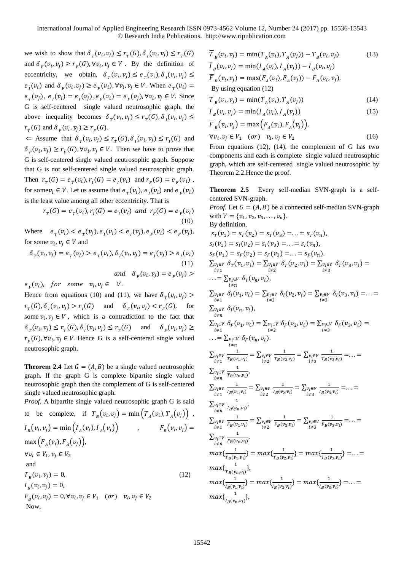we wish to show that  $\delta_T(v_i, v_j) \leq r_T(G), \delta_I(v_i, v_j) \leq r_T(G)$ and  $\delta_F(v_i, v_j) \ge r_F(G), \forall v_i, v_j \in V$ . By the definition of eccentricity, we obtain,  $\delta_{\tau}(v_i, v_j) \leq e_{\tau}(v_i), \delta_{\tau}(v_i, v_j) \leq$  $e_i(v_i)$  and  $\delta_F(v_i, v_j) \ge e_F(v_i)$ ,  $\forall v_i, v_j \in V$ . When  $e_T(v_i) =$  $e_T(v_j)$ ,  $e_I(v_i) = e_I(v_j)$ ,  $e_F(v_i) = e_F(v_j)$ ,  $\forall v_i, v_j \in V$ . Since G is self-centered single valued neutrosophic graph, the above inequality becomes  $\delta_T(v_i, v_j) \leq r_T(G), \delta_I(v_i, v_j) \leq$  $r_T(G)$  and  $\delta_F(v_i, v_j) \ge r_F(G)$ .

 $\Leftarrow$  Assume that  $\delta_T(v_i, v_j) \le r_T(G), \delta_I(v_i, v_j) \le r_I(G)$  and  $\delta_F(v_i, v_j) \ge r_F(G), \forall v_i, v_j \in V$ . Then we have to prove that G is self-centered single valued neutrosophic graph. Suppose that G is not self-centered single valued neutrosophic graph. Then  $r_T(G) = e_T(v_i)$ ,  $r_T(G) = e_T(v_i)$  and  $r_F(G) = e_F(v_i)$ , for some  $v_i \in V$ . Let us assume that  $e_T(v_i)$ ,  $e_I(v_i)$  and  $e_F(v_i)$ is the least value among all other eccentricity. That is

$$
r_r(G) = e_r(v_i), r_i(G) = e_i(v_i) \text{ and } r_r(G) = e_r(v_i)
$$
\n(10)

Where  $e_T(v_i) < e_T(v_j), e_I(v_i) < e_I(v_j), e_F(v_i) < e_F(v_j)$ , for some  $v_i$ ,  $v_j \in V$  and

 $\delta_{T}(v_{i}, v_{j}) = e_{T}(v_{j}) > e_{T}(v_{i}), \delta_{I}(v_{i}, v_{j}) = e_{I}(v_{j}) > e_{I}(v_{i})$ (11) and  $\delta_F(v_i, v_j) = e_F(v_j)$ 

 $e_F(v_i)$ , for some  $v_i, v_j \in V$ .

Hence from equations (10) and (11), we have  $\delta_T(v_i, v_j)$  >  $r_T(G), \delta_I(v_i, v_j) > r_I(G)$  and  $\delta_F(v_i, v_j) < r_F(G)$ , for some  $v_i, v_j \in V$ , which is a contradiction to the fact that  $\delta_T(v_i, v_j) \le r_T(G), \delta_I(v_i, v_j) \le r_T(G)$  and  $\delta_F(v_i, v_j) \ge$  $r_F(G)$ , ∀ $v_i$ ,  $v_j \in V$ . Hence G is a self-centered single valued neutrosophic graph.

**Theorem 2.4** Let  $G = (A, B)$  be a single valued neutrosophic graph. If the graph G is complete bipartite single valued neutrosophic graph then the complement of G is self-centered single valued neutrosophic graph.

*Proof.* A bipartite single valued neutrosophic graph G is said

to be complete, if 
$$
T_B(v_i, v_j) = \min(T_A(v_i), T_A(v_j))
$$
,  
\n $I_B(v_i, v_j) = \min(I_A(v_i), I_A(v_j))$ ,  $F_B(v_i, v_j) =$   
\n $\max(F_A(v_i), F_A(v_j))$ ,  
\n $\forall v_i \in V_1, v_j \in V_2$   
\nand  
\n $T_B(v_i, v_j) = 0$ ,  
\n $I_B(v_i, v_j) = 0$ ,  
\n $F_B(v_i, v_j) = 0, \forall v_i, v_j \in V_1$  (or)  $v_i, v_j \in V_2$   
\nNow,

$$
\overline{T}_B(v_i, v_j) = \min(T_A(v_i), T_A(v_j)) - T_B(v_i, v_j)
$$
\n(13)  
\n
$$
\overline{I}_B(v_i, v_j) = \min(I_A(v_i), I_A(v_j)) - I_B(v_i, v_j)
$$
\n
$$
\overline{F}_B(v_i, v_j) = \max(F_A(v_i), F_A(v_j)) - F_B(v_i, v_j).
$$
\nBy using equation (12)

$$
\overline{T}_B(v_i, v_j) = \min(T_A(v_i), T_A(v_j))
$$
\n(14)

$$
\overline{I}_B(v_i, v_j) = \min(I_A(v_i), I_A(v_j))
$$
\n(15)

$$
\overline{F}_B(v_i, v_j) = \max (F_A(v_i), F_A(v_j)),
$$
  
\n
$$
\forall v_i, v_j \in V_1 \quad (or) \quad v_i, v_j \in V_2
$$
\n(16)

From equations (12), (14), the complement of G has two components and each is complete single valued neutrosophic graph, which are self-centered single valued neutrosophic by Theorem 2.2.Hence the proof.

**Theorem 2.5** Every self-median SVN-graph is a selfcentered SVN-graph.

*Proof.* Let  $G = (A, B)$  be a connected self-median SVN-graph with  $V = \{v_1, v_2, v_3, \ldots, v_n\}.$ By definition,  $s_T(v_1) = s_T(v_2) = s_T(v_3) = \ldots = s_T(v_n),$  $s_1(v_1) = s_1(v_2) = s_1(v_3) = \ldots = s_1(v_n),$  $S_F(v_1) = S_F(v_2) = S_F(v_3) = \ldots = S_F(v_n).$  $\sum_{i \neq 1} v_i \in V \ \delta_T(v_1, v_i) = \sum_{i \neq 2} v_i \in V \ \delta_T(v_2, v_i) = \sum_{i \neq 3} v_i \in V \ \delta_T(v_3, v_i) =$  $\ldots = \sum_{\substack{v_i \in V \\ i \neq n}} \delta_T(v_n, v_i),$  $\sum_{i \neq 1} v_i \in V \delta_I(v_1, v_i) = \sum_{\substack{v_i \in V \ v_i \neq 2}} \delta_I(v_2, v_i) = \sum_{\substack{v_i \in V \ v_i \neq 3}} \delta_I(v_3, v_i) = \dots =$  $\sum_{v_i \in V} \delta_l(v_n, v_i),$  $i \neq n$  $\sum_{v_i \in V} \delta_F(v_1, v_i) = \sum_{v_i \in V} \delta_F(v_2, v_i) = \sum_{v_i \in V} \delta_F(v_3, v_i) =$ <br> $\frac{i \neq 1}{\sum_{i \neq 3} v_i}$  $\ldots = \sum_{v_i \in V} \delta_F(v_n, v_i).$ ≠  $\sum_{\substack{v_i\in V\\i\neq 1}}$ 1  $\frac{1}{T_B(v_1, v_i)} = \sum_{\substack{v_i \in V \\ i \neq 2}}$ 1  $\frac{1}{T_B(v_2,v_i)} = \sum_{\substack{v_i \in V \\ i \neq 3}}$ 1  $\frac{1}{T_B(v_3, v_i)} = \ldots =$  $\sum_{\substack{v_i\in V\\i\neq n}}$ 1  $\frac{1}{T_B(v_n,v_i)}$  $\sum_{\substack{v_i\in V\\i\neq 1}}$ 1  $\frac{1}{I_B(v_1,v_i)} = \sum_{\substack{v_i \in V \\ i \neq 2}}$ 1  $\frac{1}{I_B(v_2,v_i)} = \sum_{\substack{v_i \in V \\ i \neq 3}}$ 1  $\frac{1}{I_B(v_3,v_i)} = \ldots =$  $\sum_{\substack{v_i\in V\\i\neq n}}$ 1  $\frac{1}{I_B(v_n, v_i)}$  $\sum_{\substack{v_i\in V\\i\neq 1}}$ 1  $\frac{1}{F_B(v_1,v_i)} = \sum_{\substack{v_i \in V \\ i \neq 2}}$ 1  $\frac{1}{F_B(v_2,v_i)} = \sum_{\substack{v_i \in V \\ i \neq 3}}$ 1  $\frac{1}{F_B(v_3,v_i)} = \ldots =$  $\sum_{\substack{v_i\in V\\i\neq n}}$ 1  $\frac{1}{F_B(v_n, v_i)}$  $max\{\frac{1}{n}$  $\frac{1}{T_B(v_1,v_i)}\} = max\{\frac{1}{T_B(v_i)}\}$  $\frac{1}{T_B(v_2,v_i)}\} = max\{\frac{1}{T_B(v_i)}\}$  $\frac{1}{T_B(v_3,v_i)}\} = \ldots =$  $max\{\frac{1}{n}$  $\frac{1}{T_B(v_n,v_i)}\},\,$  $max\{\frac{1}{1-\epsilon}\}$  $\frac{1}{I_B(v_1,v_i)}\} = max\{\frac{1}{I_B(v_i)}\}$  $\frac{1}{I_B(v_2,v_i)}\} = max\{\frac{1}{I_B(v_i)}\}$  $\frac{1}{I_B(v_3,v_i)}\} = \ldots =$  $max\{\frac{1}{1-\epsilon}\}$  $\frac{1}{I_B(v_n, v_i)}\},\,$